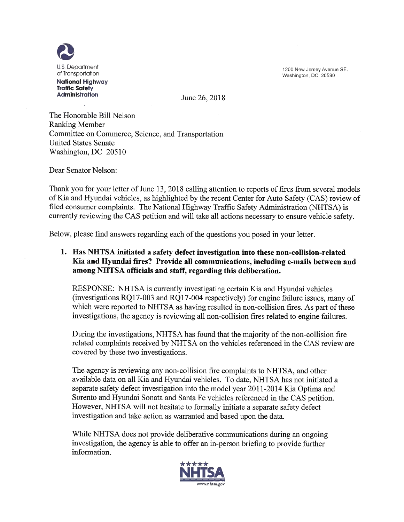2 U.S. Department of Transportation **National Highway Traffic Safety**

1200 New Jersey Avenue SE. Washington, DC 20590

June 26, 2018

The Honorable Bill Nelson Ranking Member Committee on Commerce, Science, and Transportation United States Senate Washington, DC 20510

Dear Senator Nelson:

Thank you for your letter of June 13, 2018 calling attention to reports of fires from several models ofKia and Hyundai vehicles, as highlighted by the recent Center for Auto Safety (CAS) review of filed consumer complaints. The National Highway Traffic Safety Administration (NHTSA) is currently reviewing the CAS petition and will take all actions necessary to ensure vehicle safety.

Below, please find answers regarding each of the questions you posed in your letter.

## **1. Has NHTSA initiated a safety defect investigation into these non-collision-related** Kia **and Hyundai fires? Provide all communications, including e-mails between and among NHTSA officials and staff, regarding this deliberation.**

RESPONSE: NHTSA is currently investigating certain Kia and Hyundai vehicles  $(investigations RQ17-003 and RQ17-004 respectively)$  for engine failure issues, many of which were reported to NHTSA as having resulted in non-collision fires. As part of these investigations, the agency is reviewing all non-collision fires related to engine failures.

During the investigations, NHTSA has found that the majority of the non-collision fire related complaints received by NHTSA on the vehicles referenced in the CAS review are covered by these two investigations.

The agency is reviewing any non-collision fire complaints to NHTSA, and other available data on all Kia and Hyundai vehicles. To date, NHTSA has not initiated a separate safety defect investigation into the model year 2011-2014 Kia Optima and Sorento and Hyundai Sonata and Santa Fe vehicles referenced in the CAS petition. However, NHTSA will not hesitate to formally initiate a separate safety defect investigation and take action as warranted and based upon the data.

While NHTSA does not provide deliberative communications during an ongoing investigation, the agency is able to offer an in-person briefing to provide further information.